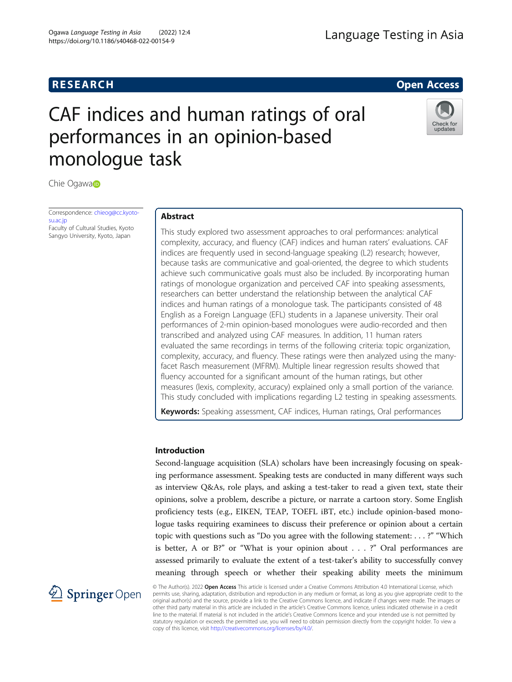# **RESEARCH RESEARCH** *CHECKER CHECKER CHECKER CHECKER CHECKER CHECKER CHECKER CHECKER CHECKER CHECKER CHECKER*

# CAF indices and human ratings of oral performances in an opinion-based monologue task



Chie Ogawa

Correspondence: [chieog@cc.kyoto](mailto:chieog@cc.kyoto-su.ac.jp)[su.ac.jp](mailto:chieog@cc.kyoto-su.ac.jp) Faculty of Cultural Studies, Kyoto Sangyo University, Kyoto, Japan

# Abstract

This study explored two assessment approaches to oral performances: analytical complexity, accuracy, and fluency (CAF) indices and human raters' evaluations. CAF indices are frequently used in second-language speaking (L2) research; however, because tasks are communicative and goal-oriented, the degree to which students achieve such communicative goals must also be included. By incorporating human ratings of monologue organization and perceived CAF into speaking assessments, researchers can better understand the relationship between the analytical CAF indices and human ratings of a monologue task. The participants consisted of 48 English as a Foreign Language (EFL) students in a Japanese university. Their oral performances of 2-min opinion-based monologues were audio-recorded and then transcribed and analyzed using CAF measures. In addition, 11 human raters evaluated the same recordings in terms of the following criteria: topic organization, complexity, accuracy, and fluency. These ratings were then analyzed using the manyfacet Rasch measurement (MFRM). Multiple linear regression results showed that fluency accounted for a significant amount of the human ratings, but other measures (lexis, complexity, accuracy) explained only a small portion of the variance. This study concluded with implications regarding L2 testing in speaking assessments.

Keywords: Speaking assessment, CAF indices, Human ratings, Oral performances

# Introduction

Second-language acquisition (SLA) scholars have been increasingly focusing on speaking performance assessment. Speaking tests are conducted in many different ways such as interview Q&As, role plays, and asking a test-taker to read a given text, state their opinions, solve a problem, describe a picture, or narrate a cartoon story. Some English proficiency tests (e.g., EIKEN, TEAP, TOEFL iBT, etc.) include opinion-based monologue tasks requiring examinees to discuss their preference or opinion about a certain topic with questions such as "Do you agree with the following statement: . . . ?" "Which is better, A or B?" or "What is your opinion about ...?" Oral performances are assessed primarily to evaluate the extent of a test-taker's ability to successfully convey meaning through speech or whether their speaking ability meets the minimum



© The Author(s). 2022 Open Access This article is licensed under a Creative Commons Attribution 4.0 International License, which permits use, sharing, adaptation, distribution and reproduction in any medium or format, as long as you give appropriate credit to the original author(s) and the source, provide a link to the Creative Commons licence, and indicate if changes were made. The images or other third party material in this article are included in the article's Creative Commons licence, unless indicated otherwise in a credit line to the material. If material is not included in the article's Creative Commons licence and your intended use is not permitted by statutory regulation or exceeds the permitted use, you will need to obtain permission directly from the copyright holder. To view a copy of this licence, visit <http://creativecommons.org/licenses/by/4.0/>.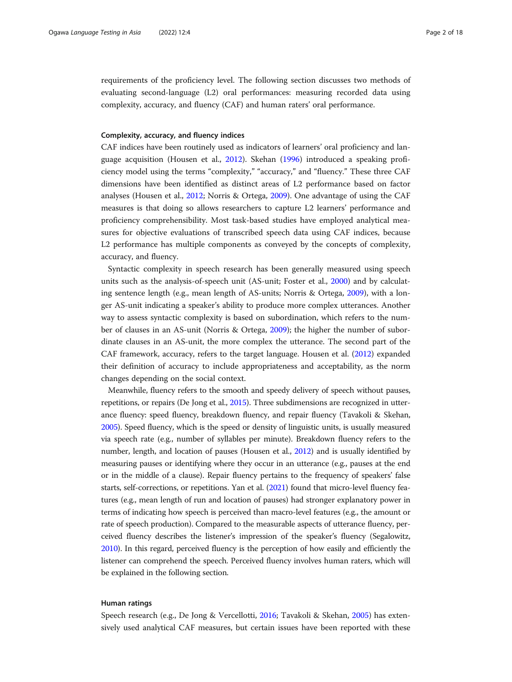requirements of the proficiency level. The following section discusses two methods of evaluating second-language (L2) oral performances: measuring recorded data using complexity, accuracy, and fluency (CAF) and human raters' oral performance.

# Complexity, accuracy, and fluency indices

CAF indices have been routinely used as indicators of learners' oral proficiency and language acquisition (Housen et al., [2012\)](#page-17-0). Skehan [\(1996\)](#page-17-0) introduced a speaking proficiency model using the terms "complexity," "accuracy," and "fluency." These three CAF dimensions have been identified as distinct areas of L2 performance based on factor analyses (Housen et al., [2012](#page-17-0); Norris & Ortega, [2009](#page-17-0)). One advantage of using the CAF measures is that doing so allows researchers to capture L2 learners' performance and proficiency comprehensibility. Most task-based studies have employed analytical measures for objective evaluations of transcribed speech data using CAF indices, because L2 performance has multiple components as conveyed by the concepts of complexity, accuracy, and fluency.

Syntactic complexity in speech research has been generally measured using speech units such as the analysis-of-speech unit (AS-unit; Foster et al., [2000\)](#page-16-0) and by calculating sentence length (e.g., mean length of AS-units; Norris & Ortega, [2009](#page-17-0)), with a longer AS-unit indicating a speaker's ability to produce more complex utterances. Another way to assess syntactic complexity is based on subordination, which refers to the number of clauses in an AS-unit (Norris & Ortega, [2009\)](#page-17-0); the higher the number of subordinate clauses in an AS-unit, the more complex the utterance. The second part of the CAF framework, accuracy, refers to the target language. Housen et al. ([2012](#page-17-0)) expanded their definition of accuracy to include appropriateness and acceptability, as the norm changes depending on the social context.

Meanwhile, fluency refers to the smooth and speedy delivery of speech without pauses, repetitions, or repairs (De Jong et al., [2015\)](#page-16-0). Three subdimensions are recognized in utterance fluency: speed fluency, breakdown fluency, and repair fluency (Tavakoli & Skehan, [2005\)](#page-17-0). Speed fluency, which is the speed or density of linguistic units, is usually measured via speech rate (e.g., number of syllables per minute). Breakdown fluency refers to the number, length, and location of pauses (Housen et al., [2012\)](#page-17-0) and is usually identified by measuring pauses or identifying where they occur in an utterance (e.g., pauses at the end or in the middle of a clause). Repair fluency pertains to the frequency of speakers' false starts, self-corrections, or repetitions. Yan et al. [\(2021](#page-17-0)) found that micro-level fluency features (e.g., mean length of run and location of pauses) had stronger explanatory power in terms of indicating how speech is perceived than macro-level features (e.g., the amount or rate of speech production). Compared to the measurable aspects of utterance fluency, perceived fluency describes the listener's impression of the speaker's fluency (Segalowitz, [2010\)](#page-17-0). In this regard, perceived fluency is the perception of how easily and efficiently the listener can comprehend the speech. Perceived fluency involves human raters, which will be explained in the following section.

# Human ratings

Speech research (e.g., De Jong & Vercellotti, [2016;](#page-16-0) Tavakoli & Skehan, [2005](#page-17-0)) has extensively used analytical CAF measures, but certain issues have been reported with these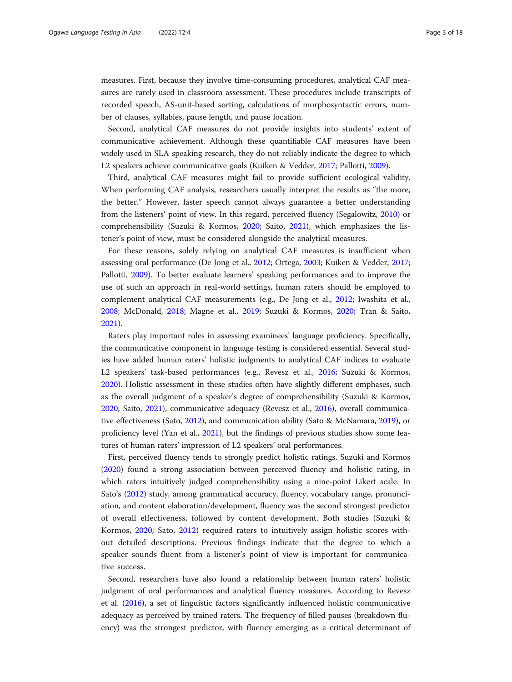measures. First, because they involve time-consuming procedures, analytical CAF measures are rarely used in classroom assessment. These procedures include transcripts of recorded speech, AS-unit-based sorting, calculations of morphosyntactic errors, number of clauses, syllables, pause length, and pause location.

Second, analytical CAF measures do not provide insights into students' extent of communicative achievement. Although these quantifiable CAF measures have been widely used in SLA speaking research, they do not reliably indicate the degree to which L2 speakers achieve communicative goals (Kuiken & Vedder, [2017](#page-17-0); Pallotti, [2009](#page-17-0)).

Third, analytical CAF measures might fail to provide sufficient ecological validity. When performing CAF analysis, researchers usually interpret the results as "the more, the better." However, faster speech cannot always guarantee a better understanding from the listeners' point of view. In this regard, perceived fluency (Segalowitz, [2010](#page-17-0)) or comprehensibility (Suzuki & Kormos, [2020](#page-17-0); Saito, [2021](#page-17-0)), which emphasizes the listener's point of view, must be considered alongside the analytical measures.

For these reasons, solely relying on analytical CAF measures is insufficient when assessing oral performance (De Jong et al., [2012;](#page-16-0) Ortega, [2003](#page-17-0); Kuiken & Vedder, [2017](#page-17-0); Pallotti, [2009](#page-17-0)). To better evaluate learners' speaking performances and to improve the use of such an approach in real-world settings, human raters should be employed to complement analytical CAF measurements (e.g., De Jong et al., [2012](#page-16-0); Iwashita et al., [2008](#page-17-0); McDonald, [2018](#page-17-0); Magne et al., [2019;](#page-17-0) Suzuki & Kormos, [2020;](#page-17-0) Tran & Saito, [2021](#page-17-0)).

Raters play important roles in assessing examinees' language proficiency. Specifically, the communicative component in language testing is considered essential. Several studies have added human raters' holistic judgments to analytical CAF indices to evaluate L2 speakers' task-based performances (e.g., Revesz et al., [2016](#page-17-0); Suzuki & Kormos, [2020](#page-17-0)). Holistic assessment in these studies often have slightly different emphases, such as the overall judgment of a speaker's degree of comprehensibility (Suzuki & Kormos, [2020](#page-17-0); Saito, [2021\)](#page-17-0), communicative adequacy (Revesz et al., [2016](#page-17-0)), overall communicative effectiveness (Sato, [2012\)](#page-17-0), and communication ability (Sato & McNamara, [2019\)](#page-17-0), or proficiency level (Yan et al., [2021](#page-17-0)), but the findings of previous studies show some features of human raters' impression of L2 speakers' oral performances.

First, perceived fluency tends to strongly predict holistic ratings. Suzuki and Kormos ([2020](#page-17-0)) found a strong association between perceived fluency and holistic rating, in which raters intuitively judged comprehensibility using a nine-point Likert scale. In Sato's ([2012](#page-17-0)) study, among grammatical accuracy, fluency, vocabulary range, pronunciation, and content elaboration/development, fluency was the second strongest predictor of overall effectiveness, followed by content development. Both studies (Suzuki & Kormos, [2020](#page-17-0); Sato, [2012](#page-17-0)) required raters to intuitively assign holistic scores without detailed descriptions. Previous findings indicate that the degree to which a speaker sounds fluent from a listener's point of view is important for communicative success.

Second, researchers have also found a relationship between human raters' holistic judgment of oral performances and analytical fluency measures. According to Revesz et al. [\(2016](#page-17-0)), a set of linguistic factors significantly influenced holistic communicative adequacy as perceived by trained raters. The frequency of filled pauses (breakdown fluency) was the strongest predictor, with fluency emerging as a critical determinant of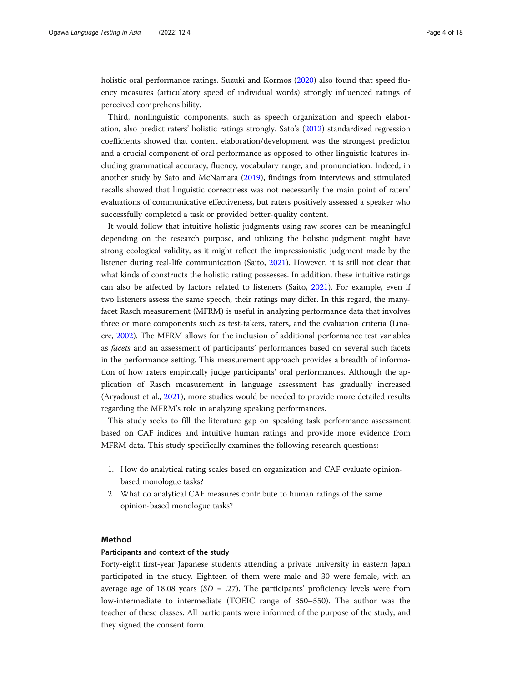holistic oral performance ratings. Suzuki and Kormos [\(2020\)](#page-17-0) also found that speed fluency measures (articulatory speed of individual words) strongly influenced ratings of perceived comprehensibility.

Third, nonlinguistic components, such as speech organization and speech elaboration, also predict raters' holistic ratings strongly. Sato's ([2012\)](#page-17-0) standardized regression coefficients showed that content elaboration/development was the strongest predictor and a crucial component of oral performance as opposed to other linguistic features including grammatical accuracy, fluency, vocabulary range, and pronunciation. Indeed, in another study by Sato and McNamara ([2019](#page-17-0)), findings from interviews and stimulated recalls showed that linguistic correctness was not necessarily the main point of raters' evaluations of communicative effectiveness, but raters positively assessed a speaker who successfully completed a task or provided better-quality content.

It would follow that intuitive holistic judgments using raw scores can be meaningful depending on the research purpose, and utilizing the holistic judgment might have strong ecological validity, as it might reflect the impressionistic judgment made by the listener during real-life communication (Saito, [2021\)](#page-17-0). However, it is still not clear that what kinds of constructs the holistic rating possesses. In addition, these intuitive ratings can also be affected by factors related to listeners (Saito, [2021\)](#page-17-0). For example, even if two listeners assess the same speech, their ratings may differ. In this regard, the manyfacet Rasch measurement (MFRM) is useful in analyzing performance data that involves three or more components such as test-takers, raters, and the evaluation criteria (Linacre, [2002](#page-17-0)). The MFRM allows for the inclusion of additional performance test variables as facets and an assessment of participants' performances based on several such facets in the performance setting. This measurement approach provides a breadth of information of how raters empirically judge participants' oral performances. Although the application of Rasch measurement in language assessment has gradually increased (Aryadoust et al., [2021](#page-16-0)), more studies would be needed to provide more detailed results regarding the MFRM's role in analyzing speaking performances.

This study seeks to fill the literature gap on speaking task performance assessment based on CAF indices and intuitive human ratings and provide more evidence from MFRM data. This study specifically examines the following research questions:

- 1. How do analytical rating scales based on organization and CAF evaluate opinionbased monologue tasks?
- 2. What do analytical CAF measures contribute to human ratings of the same opinion-based monologue tasks?

# Method

# Participants and context of the study

Forty-eight first-year Japanese students attending a private university in eastern Japan participated in the study. Eighteen of them were male and 30 were female, with an average age of 18.08 years ( $SD = .27$ ). The participants' proficiency levels were from low-intermediate to intermediate (TOEIC range of 350–550). The author was the teacher of these classes. All participants were informed of the purpose of the study, and they signed the consent form.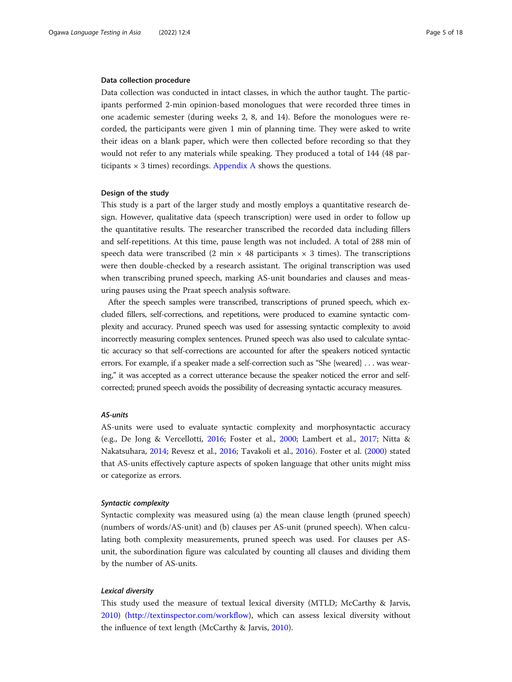### Data collection procedure

Data collection was conducted in intact classes, in which the author taught. The participants performed 2-min opinion-based monologues that were recorded three times in one academic semester (during weeks 2, 8, and 14). Before the monologues were recorded, the participants were given 1 min of planning time. They were asked to write their ideas on a blank paper, which were then collected before recording so that they would not refer to any materials while speaking. They produced a total of 144 (48 participants  $\times$  3 times) recordings. [Appendix A](#page-16-0) shows the questions.

# Design of the study

This study is a part of the larger study and mostly employs a quantitative research design. However, qualitative data (speech transcription) were used in order to follow up the quantitative results. The researcher transcribed the recorded data including fillers and self-repetitions. At this time, pause length was not included. A total of 288 min of speech data were transcribed (2 min  $\times$  48 participants  $\times$  3 times). The transcriptions were then double-checked by a research assistant. The original transcription was used when transcribing pruned speech, marking AS-unit boundaries and clauses and measuring pauses using the Praat speech analysis software.

After the speech samples were transcribed, transcriptions of pruned speech, which excluded fillers, self-corrections, and repetitions, were produced to examine syntactic complexity and accuracy. Pruned speech was used for assessing syntactic complexity to avoid incorrectly measuring complex sentences. Pruned speech was also used to calculate syntactic accuracy so that self-corrections are accounted for after the speakers noticed syntactic errors. For example, if a speaker made a self-correction such as "She {weared} . . . was wearing," it was accepted as a correct utterance because the speaker noticed the error and selfcorrected; pruned speech avoids the possibility of decreasing syntactic accuracy measures.

# AS-units

AS-units were used to evaluate syntactic complexity and morphosyntactic accuracy (e.g., De Jong & Vercellotti, [2016;](#page-16-0) Foster et al., [2000;](#page-16-0) Lambert et al., [2017](#page-17-0); Nitta & Nakatsuhara, [2014;](#page-17-0) Revesz et al., [2016](#page-17-0); Tavakoli et al., [2016\)](#page-17-0). Foster et al. [\(2000](#page-16-0)) stated that AS-units effectively capture aspects of spoken language that other units might miss or categorize as errors.

# Syntactic complexity

Syntactic complexity was measured using (a) the mean clause length (pruned speech) (numbers of words/AS-unit) and (b) clauses per AS-unit (pruned speech). When calculating both complexity measurements, pruned speech was used. For clauses per ASunit, the subordination figure was calculated by counting all clauses and dividing them by the number of AS-units.

# Lexical diversity

This study used the measure of textual lexical diversity (MTLD; McCarthy & Jarvis, [2010](#page-17-0)) [\(http://textinspector.com/workflow](http://textinspector.com/workflow)), which can assess lexical diversity without the influence of text length (McCarthy & Jarvis, [2010\)](#page-17-0).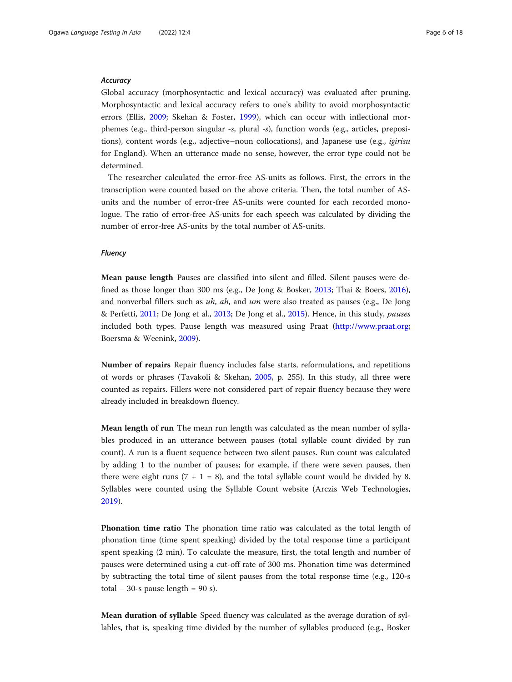### **Accuracy**

Global accuracy (morphosyntactic and lexical accuracy) was evaluated after pruning. Morphosyntactic and lexical accuracy refers to one's ability to avoid morphosyntactic errors (Ellis, [2009](#page-16-0); Skehan & Foster, [1999](#page-17-0)), which can occur with inflectional morphemes (e.g., third-person singular -s, plural -s), function words (e.g., articles, prepositions), content words (e.g., adjective–noun collocations), and Japanese use (e.g., *igirisu* for England). When an utterance made no sense, however, the error type could not be determined.

The researcher calculated the error-free AS-units as follows. First, the errors in the transcription were counted based on the above criteria. Then, the total number of ASunits and the number of error-free AS-units were counted for each recorded monologue. The ratio of error-free AS-units for each speech was calculated by dividing the number of error-free AS-units by the total number of AS-units.

# Fluency

Mean pause length Pauses are classified into silent and filled. Silent pauses were defined as those longer than 300 ms (e.g., De Jong & Bosker, [2013;](#page-16-0) Thai & Boers, [2016](#page-17-0)), and nonverbal fillers such as  $uh$ , ah, and um were also treated as pauses (e.g., De Jong & Perfetti, [2011;](#page-16-0) De Jong et al., [2013;](#page-16-0) De Jong et al., [2015\)](#page-16-0). Hence, in this study, pauses included both types. Pause length was measured using Praat [\(http://www.praat.org](http://www.praat.org); Boersma & Weenink, [2009\)](#page-16-0).

Number of repairs Repair fluency includes false starts, reformulations, and repetitions of words or phrases (Tavakoli & Skehan, [2005](#page-17-0), p. 255). In this study, all three were counted as repairs. Fillers were not considered part of repair fluency because they were already included in breakdown fluency.

Mean length of run The mean run length was calculated as the mean number of syllables produced in an utterance between pauses (total syllable count divided by run count). A run is a fluent sequence between two silent pauses. Run count was calculated by adding 1 to the number of pauses; for example, if there were seven pauses, then there were eight runs  $(7 + 1 = 8)$ , and the total syllable count would be divided by 8. Syllables were counted using the Syllable Count website (Arczis Web Technologies, [2019](#page-16-0)).

Phonation time ratio The phonation time ratio was calculated as the total length of phonation time (time spent speaking) divided by the total response time a participant spent speaking (2 min). To calculate the measure, first, the total length and number of pauses were determined using a cut-off rate of 300 ms. Phonation time was determined by subtracting the total time of silent pauses from the total response time (e.g., 120-s total – 30-s pause length =  $90$  s).

Mean duration of syllable Speed fluency was calculated as the average duration of syllables, that is, speaking time divided by the number of syllables produced (e.g., Bosker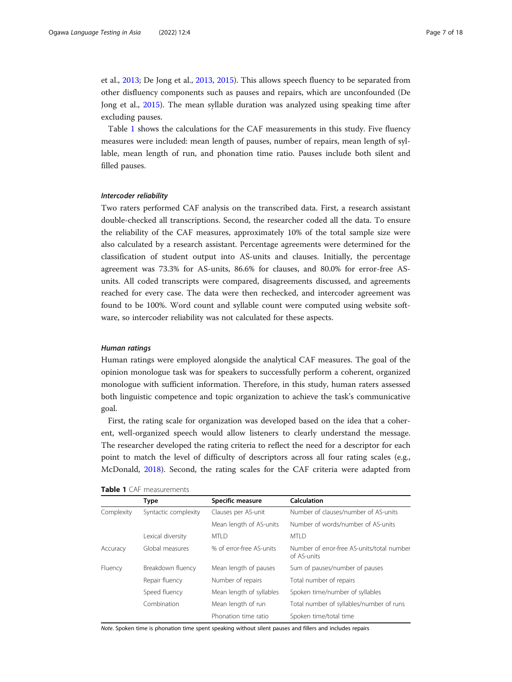et al., [2013](#page-16-0); De Jong et al., [2013](#page-16-0), [2015](#page-16-0)). This allows speech fluency to be separated from other disfluency components such as pauses and repairs, which are unconfounded (De Jong et al., [2015](#page-16-0)). The mean syllable duration was analyzed using speaking time after excluding pauses.

Table 1 shows the calculations for the CAF measurements in this study. Five fluency measures were included: mean length of pauses, number of repairs, mean length of syllable, mean length of run, and phonation time ratio. Pauses include both silent and filled pauses.

#### Intercoder reliability

Two raters performed CAF analysis on the transcribed data. First, a research assistant double-checked all transcriptions. Second, the researcher coded all the data. To ensure the reliability of the CAF measures, approximately 10% of the total sample size were also calculated by a research assistant. Percentage agreements were determined for the classification of student output into AS-units and clauses. Initially, the percentage agreement was 73.3% for AS-units, 86.6% for clauses, and 80.0% for error-free ASunits. All coded transcripts were compared, disagreements discussed, and agreements reached for every case. The data were then rechecked, and intercoder agreement was found to be 100%. Word count and syllable count were computed using website software, so intercoder reliability was not calculated for these aspects.

# Human ratings

Human ratings were employed alongside the analytical CAF measures. The goal of the opinion monologue task was for speakers to successfully perform a coherent, organized monologue with sufficient information. Therefore, in this study, human raters assessed both linguistic competence and topic organization to achieve the task's communicative goal.

First, the rating scale for organization was developed based on the idea that a coherent, well-organized speech would allow listeners to clearly understand the message. The researcher developed the rating criteria to reflect the need for a descriptor for each point to match the level of difficulty of descriptors across all four rating scales (e.g., McDonald, [2018](#page-17-0)). Second, the rating scales for the CAF criteria were adapted from

|            | Type                 | Specific measure         | Calculation                                               |
|------------|----------------------|--------------------------|-----------------------------------------------------------|
| Complexity | Syntactic complexity | Clauses per AS-unit      | Number of clauses/number of AS-units                      |
|            |                      | Mean length of AS-units  | Number of words/number of AS-units                        |
|            | Lexical diversity    | MTI D                    | MTI D                                                     |
| Accuracy   | Global measures      | % of error-free AS-units | Number of error-free AS-units/total number<br>of AS-units |
| Fluency    | Breakdown fluency    | Mean length of pauses    | Sum of pauses/number of pauses                            |
|            | Repair fluency       | Number of repairs        | Total number of repairs                                   |
|            | Speed fluency        | Mean length of syllables | Spoken time/number of syllables                           |
|            | Combination          | Mean length of run       | Total number of syllables/number of runs                  |
|            |                      | Phonation time ratio     | Spoken time/total time                                    |

#### Table 1 CAF measurements

Note. Spoken time is phonation time spent speaking without silent pauses and fillers and includes repairs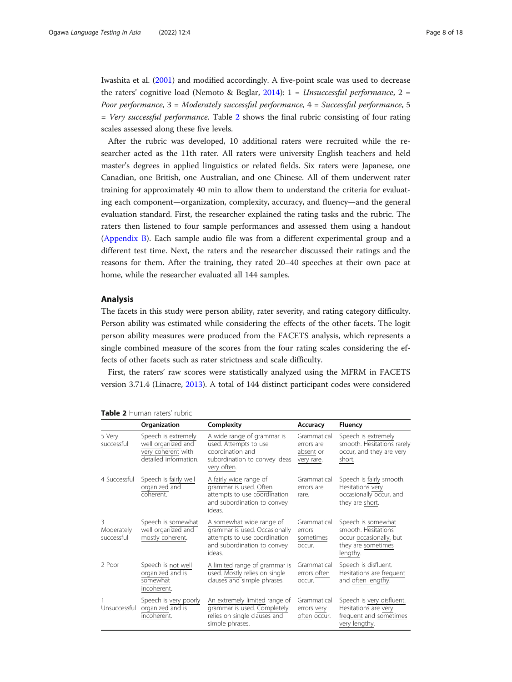Iwashita et al. ([2001](#page-17-0)) and modified accordingly. A five-point scale was used to decrease the raters' cognitive load (Nemoto & Beglar, [2014\)](#page-17-0):  $1 =$  *Unsuccessful performance*,  $2 =$ Poor performance,  $3 =$  Moderately successful performance,  $4 =$  Successful performance, 5  $=$  Very successful performance. Table 2 shows the final rubric consisting of four rating scales assessed along these five levels.

After the rubric was developed, 10 additional raters were recruited while the researcher acted as the 11th rater. All raters were university English teachers and held master's degrees in applied linguistics or related fields. Six raters were Japanese, one Canadian, one British, one Australian, and one Chinese. All of them underwent rater training for approximately 40 min to allow them to understand the criteria for evaluating each component—organization, complexity, accuracy, and fluency—and the general evaluation standard. First, the researcher explained the rating tasks and the rubric. The raters then listened to four sample performances and assessed them using a handout ([Appendix B](#page-16-0)). Each sample audio file was from a different experimental group and a different test time. Next, the raters and the researcher discussed their ratings and the reasons for them. After the training, they rated 20–40 speeches at their own pace at home, while the researcher evaluated all 144 samples.

# Analysis

The facets in this study were person ability, rater severity, and rating category difficulty. Person ability was estimated while considering the effects of the other facets. The logit person ability measures were produced from the FACETS analysis, which represents a single combined measure of the scores from the four rating scales considering the effects of other facets such as rater strictness and scale difficulty.

First, the raters' raw scores were statistically analyzed using the MFRM in FACETS version 3.71.4 (Linacre, [2013\)](#page-17-0). A total of 144 distinct participant codes were considered

|                               | Organization                                                                             | Complexity                                                                                                                         | Accuracy                                             | <b>Fluency</b>                                                                                         |
|-------------------------------|------------------------------------------------------------------------------------------|------------------------------------------------------------------------------------------------------------------------------------|------------------------------------------------------|--------------------------------------------------------------------------------------------------------|
| 5 Very<br>successful          | Speech is extremely<br>well organized and<br>very coherent with<br>detailed information. | A wide range of grammar is<br>used. Attempts to use<br>coordination and<br>subordination to convey ideas<br>very often.            | Grammatical<br>errors are<br>absent or<br>very rare. | Speech is extremely<br>smooth. Hesitations rarely<br>occur, and they are very<br>short.                |
| 4 Successful                  | Speech is fairly well<br>organized and<br>coherent.                                      | A fairly wide range of<br>grammar is used. Often<br>attempts to use coordination<br>and subordination to convey<br>ideas.          | Grammatical<br>errors are<br>rare.                   | Speech is fairly smooth.<br>Hesitations very<br>occasionally occur, and<br>they are short.             |
| ζ<br>Moderately<br>successful | Speech is somewhat<br>well organized and<br>mostly coherent.                             | A somewhat wide range of<br>grammar is used. Occasionally<br>attempts to use coordination<br>and subordination to convey<br>ideas. | Grammatical<br>errors<br>sometimes<br>occur.         | Speech is somewhat<br>smooth. Hesitations<br>occur occasionally, but<br>they are sometimes<br>lengthy. |
| 2 Poor                        | Speech is not well<br>organized and is<br>somewhat<br>incoherent.                        | A limited range of grammar is<br>used. Mostly relies on single<br>clauses and simple phrases.                                      | Grammatical<br>errors often<br>occur.                | Speech is disfluent.<br>Hesitations are frequent<br>and often lengthy.                                 |
| Unsuccessful                  | Speech is very poorly<br>organized and is<br>incoherent.                                 | An extremely limited range of<br>grammar is used. Completely<br>relies on single clauses and<br>simple phrases.                    | Grammatical<br>errors very<br>often occur.           | Speech is very disfluent.<br>Hesitations are very<br>frequent and sometimes<br>very lengthy.           |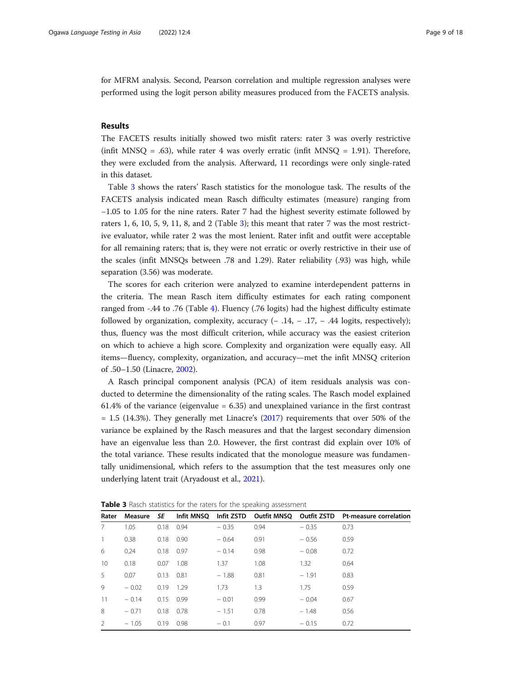for MFRM analysis. Second, Pearson correlation and multiple regression analyses were performed using the logit person ability measures produced from the FACETS analysis.

# Results

The FACETS results initially showed two misfit raters: rater 3 was overly restrictive (infit MNSQ = .63), while rater 4 was overly erratic (infit MNSQ = 1.91). Therefore, they were excluded from the analysis. Afterward, 11 recordings were only single-rated in this dataset.

Table 3 shows the raters' Rasch statistics for the monologue task. The results of the FACETS analysis indicated mean Rasch difficulty estimates (measure) ranging from −1.05 to 1.05 for the nine raters. Rater 7 had the highest severity estimate followed by raters 1, 6, 10, 5, 9, 11, 8, and 2 (Table 3); this meant that rater 7 was the most restrictive evaluator, while rater 2 was the most lenient. Rater infit and outfit were acceptable for all remaining raters; that is, they were not erratic or overly restrictive in their use of the scales (infit MNSQs between .78 and 1.29). Rater reliability (.93) was high, while separation (3.56) was moderate.

The scores for each criterion were analyzed to examine interdependent patterns in the criteria. The mean Rasch item difficulty estimates for each rating component ranged from -.44 to .76 (Table [4\)](#page-9-0). Fluency (.76 logits) had the highest difficulty estimate followed by organization, complexity, accuracy  $(-.14, -.17, -.44$  logits, respectively); thus, fluency was the most difficult criterion, while accuracy was the easiest criterion on which to achieve a high score. Complexity and organization were equally easy. All items—fluency, complexity, organization, and accuracy—met the infit MNSQ criterion of .50–1.50 (Linacre, [2002\)](#page-17-0).

A Rasch principal component analysis (PCA) of item residuals analysis was conducted to determine the dimensionality of the rating scales. The Rasch model explained 61.4% of the variance (eigenvalue = 6.35) and unexplained variance in the first contrast  $= 1.5$  (14.3%). They generally met Linacre's [\(2017](#page-17-0)) requirements that over 50% of the variance be explained by the Rasch measures and that the largest secondary dimension have an eigenvalue less than 2.0. However, the first contrast did explain over 10% of the total variance. These results indicated that the monologue measure was fundamentally unidimensional, which refers to the assumption that the test measures only one underlying latent trait (Aryadoust et al., [2021\)](#page-16-0).

| Rater           | Measure | SE   | Infit MNSQ |         |      |         | Infit ZSTD Outfit MNSO Outfit ZSTD Pt-measure correlation |
|-----------------|---------|------|------------|---------|------|---------|-----------------------------------------------------------|
|                 | 1.05    | 0.18 | 0.94       | $-0.35$ | 0.94 | $-0.35$ | 0.73                                                      |
| $\mathbf{1}$    | 0.38    | 0.18 | 0.90       | $-0.64$ | 0.91 | $-0.56$ | 0.59                                                      |
| 6               | 0.24    | 0.18 | 0.97       | $-0.14$ | 0.98 | $-0.08$ | 0.72                                                      |
| 10 <sup>°</sup> | 0.18    | 0.07 | 1.08       | 1.37    | 1.08 | 1.32    | 0.64                                                      |
| 5               | 0.07    | 0.13 | 0.81       | $-1.88$ | 0.81 | $-1.91$ | 0.83                                                      |
| 9               | $-0.02$ | 0.19 | 1.29       | 1.73    | 1.3  | 1.75    | 0.59                                                      |
| 11              | $-0.14$ | 0.15 | 0.99       | $-0.01$ | 0.99 | $-0.04$ | 0.67                                                      |
| 8               | $-0.71$ | 0.18 | 0.78       | $-1.51$ | 0.78 | $-1.48$ | 0.56                                                      |
| $\mathcal{P}$   | $-1.05$ | 0.19 | 0.98       | $-0.1$  | 0.97 | $-0.15$ | 0.72                                                      |

Table 3 Rasch statistics for the raters for the speaking assessment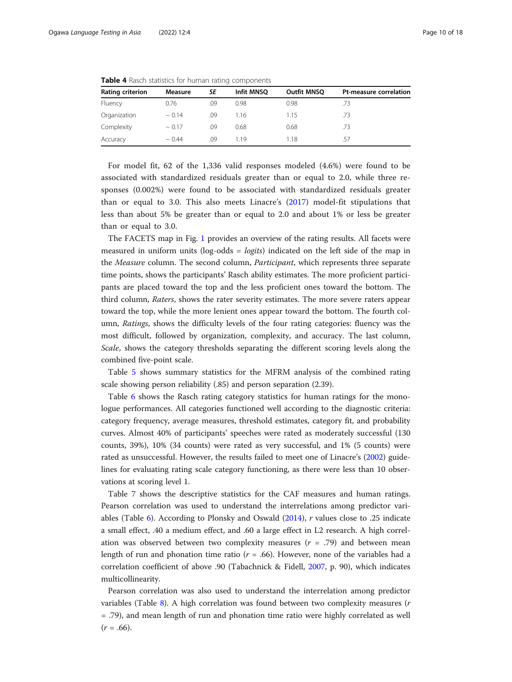| Rating criterion | Measure | SE  | Infit MNSO | <b>Outfit MNSQ</b> | Pt-measure correlation |
|------------------|---------|-----|------------|--------------------|------------------------|
| Fluency          | 0.76    | .09 | 0.98       | 0.98               | .73                    |
| Organization     | $-0.14$ | .09 | 1.16       | 1.15               | .73                    |
| Complexity       | $-0.17$ | .09 | 0.68       | 0.68               | .73                    |
| Accuracy         | $-0.44$ | .09 | 119        | 1.18               | .57                    |

<span id="page-9-0"></span>Table 4 Rasch statistics for human rating components

For model fit, 62 of the 1,336 valid responses modeled (4.6%) were found to be associated with standardized residuals greater than or equal to 2.0, while three responses (0.002%) were found to be associated with standardized residuals greater than or equal to 3.0. This also meets Linacre's ([2017](#page-17-0)) model-fit stipulations that less than about 5% be greater than or equal to 2.0 and about 1% or less be greater than or equal to 3.0.

The FACETS map in Fig. [1](#page-10-0) provides an overview of the rating results. All facets were measured in uniform units ( $log-odds = logits$ ) indicated on the left side of the map in the Measure column. The second column, Participant, which represents three separate time points, shows the participants' Rasch ability estimates. The more proficient participants are placed toward the top and the less proficient ones toward the bottom. The third column, Raters, shows the rater severity estimates. The more severe raters appear toward the top, while the more lenient ones appear toward the bottom. The fourth column, Ratings, shows the difficulty levels of the four rating categories: fluency was the most difficult, followed by organization, complexity, and accuracy. The last column, Scale, shows the category thresholds separating the different scoring levels along the combined five-point scale.

Table [5](#page-11-0) shows summary statistics for the MFRM analysis of the combined rating scale showing person reliability (.85) and person separation (2.39).

Table [6](#page-11-0) shows the Rasch rating category statistics for human ratings for the monologue performances. All categories functioned well according to the diagnostic criteria: category frequency, average measures, threshold estimates, category fit, and probability curves. Almost 40% of participants' speeches were rated as moderately successful (130 counts, 39%), 10% (34 counts) were rated as very successful, and 1% (5 counts) were rated as unsuccessful. However, the results failed to meet one of Linacre's [\(2002\)](#page-17-0) guidelines for evaluating rating scale category functioning, as there were less than 10 observations at scoring level 1.

Table [7](#page-12-0) shows the descriptive statistics for the CAF measures and human ratings. Pearson correlation was used to understand the interrelations among predictor variables (Table [6\)](#page-11-0). According to Plonsky and Oswald ([2014](#page-17-0)), r values close to .25 indicate a small effect, .40 a medium effect, and .60 a large effect in L2 research. A high correlation was observed between two complexity measures  $(r = .79)$  and between mean length of run and phonation time ratio ( $r = .66$ ). However, none of the variables had a correlation coefficient of above .90 (Tabachnick & Fidell, [2007](#page-17-0), p. 90), which indicates multicollinearity.

Pearson correlation was also used to understand the interrelation among predictor variables (Table [8\)](#page-12-0). A high correlation was found between two complexity measures (r = .79), and mean length of run and phonation time ratio were highly correlated as well  $(r = .66)$ .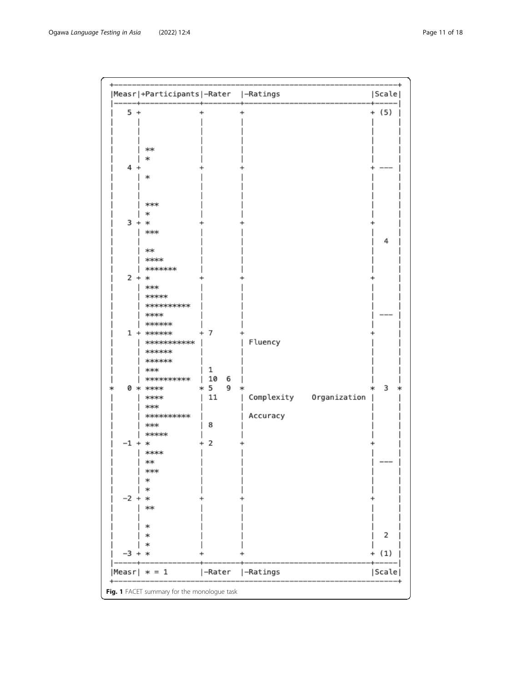<span id="page-10-0"></span>

| 1easr∣   | $* = 1$                                  | -Rater         | -Ratings                   | Scal     |
|----------|------------------------------------------|----------------|----------------------------|----------|
| -3 +     |                                          |                |                            | (1)      |
|          |                                          |                |                            |          |
|          |                                          |                |                            | 2        |
|          |                                          |                |                            |          |
|          | $**$                                     |                |                            |          |
| $-2 +$   | 冰                                        |                |                            |          |
|          |                                          |                |                            |          |
|          |                                          |                |                            |          |
|          | $***$                                    |                |                            |          |
|          | $*$                                      |                |                            |          |
| $-1 + *$ | $**$                                     | 2              |                            |          |
|          | *****                                    |                |                            |          |
|          | $***$                                    | 8              |                            |          |
|          | **********                               |                | Accuracy                   |          |
|          | $***$                                    |                |                            |          |
|          | $**$                                     | 11             | Complexity<br>Organization |          |
|          | 0 * ****                                 | $*5$<br>9      |                            | 3        |
|          | **********                               | 10<br>6        |                            |          |
|          | $***$                                    | 1              |                            |          |
|          | ******                                   |                |                            |          |
|          | ******                                   |                |                            |          |
|          | $1 + \n* \n* \n* \n* \n*$<br>*********** |                | Fluency                    |          |
|          | ******                                   | $\overline{7}$ |                            |          |
|          | $**$                                     |                |                            |          |
|          | **********                               |                |                            |          |
|          | *****                                    |                |                            |          |
|          | $***$                                    |                |                            |          |
| $2 + *$  |                                          |                |                            |          |
|          | *******                                  |                |                            |          |
|          | $****$                                   |                |                            |          |
|          | $**$                                     |                |                            |          |
|          |                                          |                |                            | 4        |
|          | $***$                                    |                |                            |          |
| $3 +$    | $\ast$                                   |                |                            |          |
|          | *                                        |                |                            |          |
|          | $***$                                    |                |                            |          |
|          |                                          |                |                            |          |
|          | *                                        |                |                            |          |
| 4 -      |                                          |                |                            |          |
|          | *                                        |                |                            |          |
|          | $**$                                     |                |                            |          |
|          |                                          |                |                            |          |
|          |                                          |                |                            |          |
|          |                                          |                |                            |          |
| 5<br>$+$ |                                          |                |                            | (5)<br>÷ |
|          | Measr +Participants -Rater  -Ratings     |                |                            | Scale    |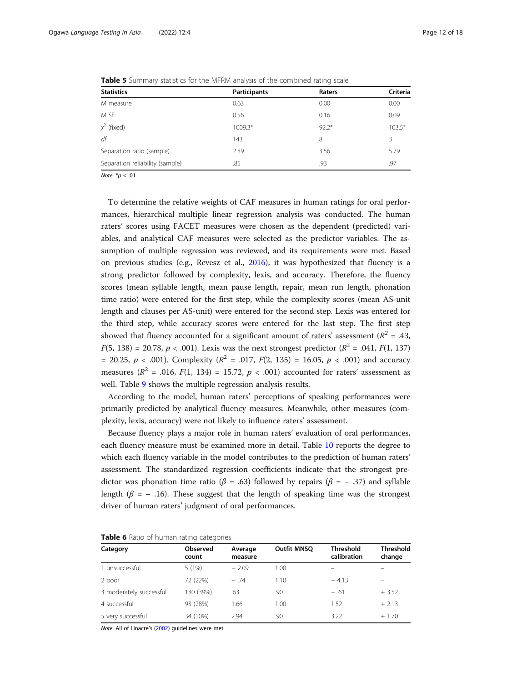| <b>Statistics</b>               | <b>Participants</b> | Raters  | Criteria |
|---------------------------------|---------------------|---------|----------|
| M measure                       | 0.63                | 0.00    | 0.00     |
| M SE                            | 0.56                | 0.16    | 0.09     |
| $\chi^2$ (fixed)                | 1009.3*             | $92.2*$ | $103.5*$ |
| df                              | 143                 | 8       | 3        |
| Separation ratio (sample)       | 2.39                | 3.56    | 5.79     |
| Separation reliability (sample) | .85                 | .93     | .97      |

<span id="page-11-0"></span>Table 5 Summary statistics for the MFRM analysis of the combined rating scale

Note.  $*$ *p* < .01

To determine the relative weights of CAF measures in human ratings for oral performances, hierarchical multiple linear regression analysis was conducted. The human raters' scores using FACET measures were chosen as the dependent (predicted) variables, and analytical CAF measures were selected as the predictor variables. The assumption of multiple regression was reviewed, and its requirements were met. Based on previous studies (e.g., Revesz et al., [2016\)](#page-17-0), it was hypothesized that fluency is a strong predictor followed by complexity, lexis, and accuracy. Therefore, the fluency scores (mean syllable length, mean pause length, repair, mean run length, phonation time ratio) were entered for the first step, while the complexity scores (mean AS-unit length and clauses per AS-unit) were entered for the second step. Lexis was entered for the third step, while accuracy scores were entered for the last step. The first step showed that fluency accounted for a significant amount of raters' assessment ( $R^2 = .43$ ,  $F(5, 138) = 20.78, p < .001$ ). Lexis was the next strongest predictor ( $R^2 = .041, F(1, 137)$ = 20.25,  $p < .001$ ). Complexity ( $R^2 = .017$ ,  $F(2, 135) = 16.05$ ,  $p < .001$ ) and accuracy measures ( $R^2$  = .016,  $F(1, 134)$  = 15.72,  $p < .001$ ) accounted for raters' assessment as well. Table [9](#page-13-0) shows the multiple regression analysis results.

According to the model, human raters' perceptions of speaking performances were primarily predicted by analytical fluency measures. Meanwhile, other measures (complexity, lexis, accuracy) were not likely to influence raters' assessment.

Because fluency plays a major role in human raters' evaluation of oral performances, each fluency measure must be examined more in detail. Table [10](#page-13-0) reports the degree to which each fluency variable in the model contributes to the prediction of human raters' assessment. The standardized regression coefficients indicate that the strongest predictor was phonation time ratio ( $\beta = .63$ ) followed by repairs ( $\beta = -.37$ ) and syllable length ( $\beta$  = -.16). These suggest that the length of speaking time was the strongest driver of human raters' judgment of oral performances.

| $\tilde{\phantom{a}}$ |                    |                    |                                 |                            |
|-----------------------|--------------------|--------------------|---------------------------------|----------------------------|
| Observed<br>count     | Average<br>measure | <b>Outfit MNSO</b> | <b>Threshold</b><br>calibration | <b>Threshold</b><br>change |
| 5(1%)                 | $-2.09$            | 1.00               |                                 |                            |
| 72 (22%)              | $-.74$             | 1.10               | $-4.13$                         |                            |
| 130 (39%)             | .63                | .90                | $-.61$                          | $+3.52$                    |
| 93 (28%)              | 1.66               | 1.00               | 1.52                            | $+2.13$                    |
| 34 (10%)              | 2.94               | .90                | 3.22                            | $+1.70$                    |
|                       |                    |                    |                                 |                            |

Table 6 Ratio of human rating categories

Note. All of Linacre's [\(2002\)](#page-17-0) guidelines were met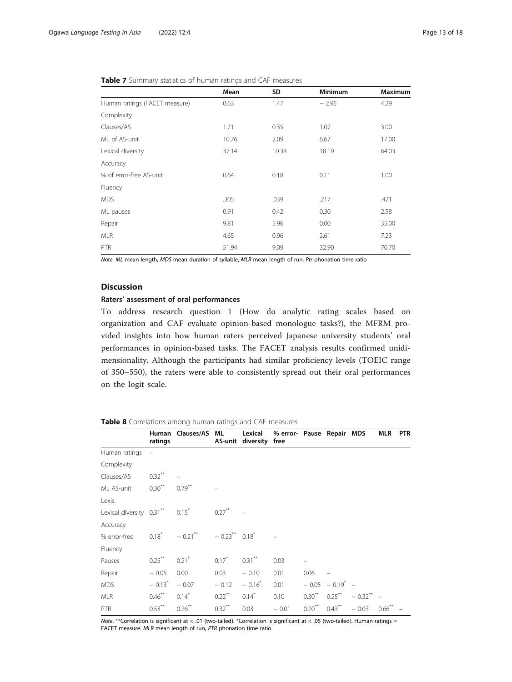|                               | Mean  | SD    | <b>Minimum</b> | <b>Maximum</b> |
|-------------------------------|-------|-------|----------------|----------------|
| Human ratings (FACET measure) | 0.63  | 1.47  | $-2.95$        | 4.29           |
| Complexity                    |       |       |                |                |
| Clauses/AS                    | 1.71  | 0.35  | 1.07           | 3.00           |
| ML of AS-unit                 | 10.76 | 2.09  | 6.67           | 17.00          |
| Lexical diversity             | 37.14 | 10.38 | 18.19          | 64.03          |
| Accuracy                      |       |       |                |                |
| % of error-free AS-unit       | 0.64  | 0.18  | 0.11           | 1.00           |
| Fluency                       |       |       |                |                |
| <b>MDS</b>                    | .305  | .039  | .217           | .421           |
| ML pauses                     | 0.91  | 0.42  | 0.30           | 2.58           |
| Repair                        | 9.81  | 5.96  | 0.00           | 35.00          |
| <b>MLR</b>                    | 4.65  | 0.96  | 2.61           | 7.23           |
| <b>PTR</b>                    | 51.94 | 9.09  | 32.90          | 70.70          |

<span id="page-12-0"></span>

|  |  |  | <b>Table 7</b> Summary statistics of human ratings and CAF measures |  |  |  |  |  |  |  |
|--|--|--|---------------------------------------------------------------------|--|--|--|--|--|--|--|
|--|--|--|---------------------------------------------------------------------|--|--|--|--|--|--|--|

Note. ML mean length, MDS mean duration of syllable, MLR mean length of run, Ptr phonation time ratio

# Discussion

# Raters' assessment of oral performances

To address research question 1 (How do analytic rating scales based on organization and CAF evaluate opinion-based monologue tasks?), the MFRM provided insights into how human raters perceived Japanese university students' oral performances in opinion-based tasks. The FACET analysis results confirmed unidimensionality. Although the participants had similar proficiency levels (TOEIC range of 350–550), the raters were able to consistently spread out their oral performances on the logit scale.

# Table 8 Correlations among human ratings and CAF measures

|                                | ratings              | Human Clauses/AS ML                         |                      | Lexical<br>AS-unit diversity free | % error- Pause Repair MDS |      |                         |                                          | MLR                  | PTR |
|--------------------------------|----------------------|---------------------------------------------|----------------------|-----------------------------------|---------------------------|------|-------------------------|------------------------------------------|----------------------|-----|
| Human ratings                  |                      |                                             |                      |                                   |                           |      |                         |                                          |                      |     |
| Complexity                     |                      |                                             |                      |                                   |                           |      |                         |                                          |                      |     |
| Clauses/AS                     | $0.32$ <sup>**</sup> |                                             |                      |                                   |                           |      |                         |                                          |                      |     |
| ML AS-unit                     | $0.30^{**}$          | $0.79$ <sup>**</sup>                        |                      |                                   |                           |      |                         |                                          |                      |     |
| Lexis                          |                      |                                             |                      |                                   |                           |      |                         |                                          |                      |     |
| Lexical diversity 0.31** 0.15* |                      |                                             | $0.27$ <sup>**</sup> |                                   |                           |      |                         |                                          |                      |     |
| Accuracy                       |                      |                                             |                      |                                   |                           |      |                         |                                          |                      |     |
| % error-free                   |                      | $0.18^*$ $-0.21^{**}$ $-0.23^{**}$ $0.18^*$ |                      |                                   |                           |      |                         |                                          |                      |     |
| Fluency                        |                      |                                             |                      |                                   |                           |      |                         |                                          |                      |     |
| Pauses                         | $0.25***$            | $0.21$ <sup>*</sup>                         | $0.17^*$             | $0.31***$                         | 0.03                      |      |                         |                                          |                      |     |
| Repair                         | $-0.05$              | 0.00                                        | 0.03                 | $-0.10$                           | 0.01                      | 0.06 |                         |                                          |                      |     |
| MDS.                           | $-0.13$ <sup>*</sup> | $-0.07$                                     | $-0.12$              | $-0.16$ <sup>*</sup>              | 0.01                      |      | $-0.05 - 0.19^{*}$ -    |                                          |                      |     |
| <b>MLR</b>                     | $0.46***$            | $0.14$ <sup>*</sup>                         | $0.22***$            | $0.14$ <sup>*</sup>               | 0.10                      |      |                         | $0.30^{**}$ $0.25^{**}$ $-0.32^{**}$ $-$ |                      |     |
| <b>PTR</b>                     | $0.53***$            | $0.26$ <sup>**</sup>                        | $0.32***$            | 0.03                              | $-0.01$                   |      | $0.20^{**}$ $0.43^{**}$ | $-0.03$                                  | $0.66$ <sup>**</sup> |     |

Note. \*\*Correlation is significant at < .01 (two-tailed). \*Correlation is significant at < .05 (two-tailed). Human ratings = FACET measure. MLR mean length of run, PTR phonation time ratio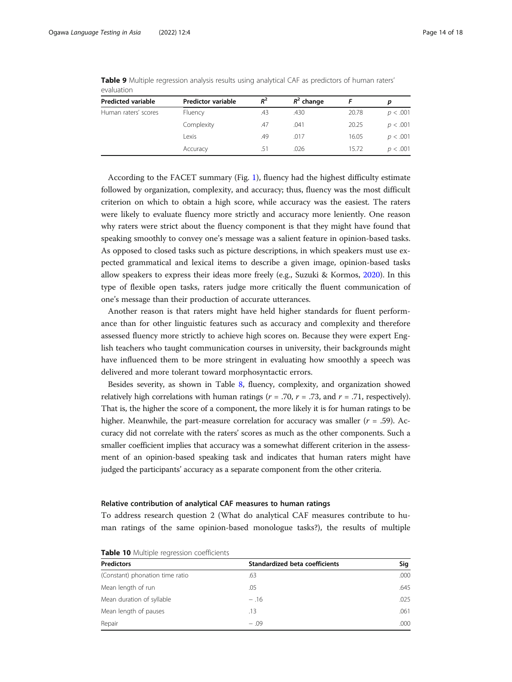| ---------                 |                           |       |              |       |          |
|---------------------------|---------------------------|-------|--------------|-------|----------|
| <b>Predicted variable</b> | <b>Predictor variable</b> | $R^2$ | $R^2$ change |       | D        |
| Human raters' scores      | Fluency                   | .43   | .430         | 20.78 | p < .001 |
|                           | Complexity                | .47   | .041         | 20.25 | p < .001 |
|                           | Lexis                     | .49   | .017         | 16.05 | p < .001 |
|                           | Accuracy                  | .51   | .026         | 15.72 | p < .001 |

<span id="page-13-0"></span>Table 9 Multiple regression analysis results using analytical CAF as predictors of human raters' evaluation

According to the FACET summary (Fig. [1](#page-10-0)), fluency had the highest difficulty estimate followed by organization, complexity, and accuracy; thus, fluency was the most difficult criterion on which to obtain a high score, while accuracy was the easiest. The raters were likely to evaluate fluency more strictly and accuracy more leniently. One reason why raters were strict about the fluency component is that they might have found that speaking smoothly to convey one's message was a salient feature in opinion-based tasks. As opposed to closed tasks such as picture descriptions, in which speakers must use expected grammatical and lexical items to describe a given image, opinion-based tasks allow speakers to express their ideas more freely (e.g., Suzuki & Kormos, [2020](#page-17-0)). In this type of flexible open tasks, raters judge more critically the fluent communication of one's message than their production of accurate utterances.

Another reason is that raters might have held higher standards for fluent performance than for other linguistic features such as accuracy and complexity and therefore assessed fluency more strictly to achieve high scores on. Because they were expert English teachers who taught communication courses in university, their backgrounds might have influenced them to be more stringent in evaluating how smoothly a speech was delivered and more tolerant toward morphosyntactic errors.

Besides severity, as shown in Table [8](#page-12-0), fluency, complexity, and organization showed relatively high correlations with human ratings ( $r = .70$ ,  $r = .73$ , and  $r = .71$ , respectively). That is, the higher the score of a component, the more likely it is for human ratings to be higher. Meanwhile, the part-measure correlation for accuracy was smaller  $(r = .59)$ . Accuracy did not correlate with the raters' scores as much as the other components. Such a smaller coefficient implies that accuracy was a somewhat different criterion in the assessment of an opinion-based speaking task and indicates that human raters might have judged the participants' accuracy as a separate component from the other criteria.

# Relative contribution of analytical CAF measures to human ratings

To address research question 2 (What do analytical CAF measures contribute to human ratings of the same opinion-based monologue tasks?), the results of multiple

| <b>Predictors</b>               | Standardized beta coefficients | Sig  |
|---------------------------------|--------------------------------|------|
| (Constant) phonation time ratio | .63                            | .000 |
| Mean length of run              | .05                            | .645 |
| Mean duration of syllable       | $-.16$                         | .025 |
| Mean length of pauses           | .13                            | .061 |
| Repair                          | $-.09$                         | .000 |

Table 10 Multiple regression coefficients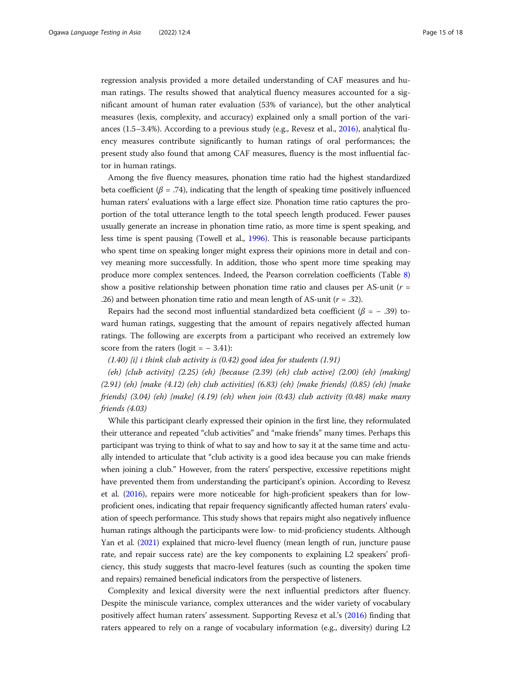regression analysis provided a more detailed understanding of CAF measures and human ratings. The results showed that analytical fluency measures accounted for a significant amount of human rater evaluation (53% of variance), but the other analytical measures (lexis, complexity, and accuracy) explained only a small portion of the variances  $(1.5-3.4%)$ . According to a previous study (e.g., Revesz et al., [2016\)](#page-17-0), analytical fluency measures contribute significantly to human ratings of oral performances; the present study also found that among CAF measures, fluency is the most influential factor in human ratings.

Among the five fluency measures, phonation time ratio had the highest standardized beta coefficient ( $\beta$  = .74), indicating that the length of speaking time positively influenced human raters' evaluations with a large effect size. Phonation time ratio captures the proportion of the total utterance length to the total speech length produced. Fewer pauses usually generate an increase in phonation time ratio, as more time is spent speaking, and less time is spent pausing (Towell et al., [1996](#page-17-0)). This is reasonable because participants who spent time on speaking longer might express their opinions more in detail and convey meaning more successfully. In addition, those who spent more time speaking may produce more complex sentences. Indeed, the Pearson correlation coefficients (Table [8](#page-12-0)) show a positive relationship between phonation time ratio and clauses per AS-unit ( $r =$ .26) and between phonation time ratio and mean length of AS-unit ( $r = .32$ ).

Repairs had the second most influential standardized beta coefficient ( $\beta$  = -.39) toward human ratings, suggesting that the amount of repairs negatively affected human ratings. The following are excerpts from a participant who received an extremely low score from the raters (logit =  $-3.41$ ):

 $(1.40)$  {i} i think club activity is  $(0.42)$  good idea for students  $(1.91)$ 

(eh) {club activity}  $(2.25)$  (eh) {because  $(2.39)$  (eh) club active}  $(2.00)$  (eh) {making}  $(2.91)$  (eh) {make  $(4.12)$  (eh) club activities}  $(6.83)$  (eh) {make friends}  $(0.85)$  (eh) {make friends}  $(3.04)$  (eh) {make}  $(4.19)$  (eh) when join  $(0.43)$  club activity  $(0.48)$  make many friends (4.03)

While this participant clearly expressed their opinion in the first line, they reformulated their utterance and repeated "club activities" and "make friends" many times. Perhaps this participant was trying to think of what to say and how to say it at the same time and actually intended to articulate that "club activity is a good idea because you can make friends when joining a club." However, from the raters' perspective, excessive repetitions might have prevented them from understanding the participant's opinion. According to Revesz et al. [\(2016\)](#page-17-0), repairs were more noticeable for high-proficient speakers than for lowproficient ones, indicating that repair frequency significantly affected human raters' evaluation of speech performance. This study shows that repairs might also negatively influence human ratings although the participants were low- to mid-proficiency students. Although Yan et al. [\(2021](#page-17-0)) explained that micro-level fluency (mean length of run, juncture pause rate, and repair success rate) are the key components to explaining L2 speakers' proficiency, this study suggests that macro-level features (such as counting the spoken time and repairs) remained beneficial indicators from the perspective of listeners.

Complexity and lexical diversity were the next influential predictors after fluency. Despite the miniscule variance, complex utterances and the wider variety of vocabulary positively affect human raters' assessment. Supporting Revesz et al.'s [\(2016\)](#page-17-0) finding that raters appeared to rely on a range of vocabulary information (e.g., diversity) during L2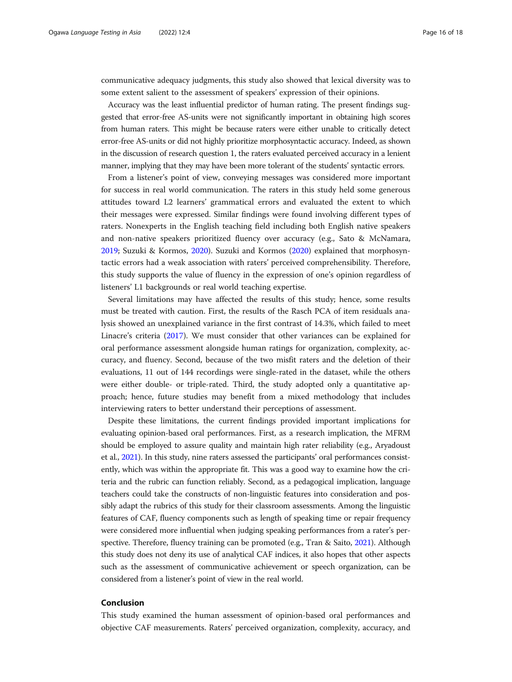communicative adequacy judgments, this study also showed that lexical diversity was to some extent salient to the assessment of speakers' expression of their opinions.

Accuracy was the least influential predictor of human rating. The present findings suggested that error-free AS-units were not significantly important in obtaining high scores from human raters. This might be because raters were either unable to critically detect error-free AS-units or did not highly prioritize morphosyntactic accuracy. Indeed, as shown in the discussion of research question 1, the raters evaluated perceived accuracy in a lenient manner, implying that they may have been more tolerant of the students' syntactic errors.

From a listener's point of view, conveying messages was considered more important for success in real world communication. The raters in this study held some generous attitudes toward L2 learners' grammatical errors and evaluated the extent to which their messages were expressed. Similar findings were found involving different types of raters. Nonexperts in the English teaching field including both English native speakers and non-native speakers prioritized fluency over accuracy (e.g., Sato & McNamara, [2019](#page-17-0); Suzuki & Kormos, [2020](#page-17-0)). Suzuki and Kormos [\(2020](#page-17-0)) explained that morphosyntactic errors had a weak association with raters' perceived comprehensibility. Therefore, this study supports the value of fluency in the expression of one's opinion regardless of listeners' L1 backgrounds or real world teaching expertise.

Several limitations may have affected the results of this study; hence, some results must be treated with caution. First, the results of the Rasch PCA of item residuals analysis showed an unexplained variance in the first contrast of 14.3%, which failed to meet Linacre's criteria ([2017](#page-17-0)). We must consider that other variances can be explained for oral performance assessment alongside human ratings for organization, complexity, accuracy, and fluency. Second, because of the two misfit raters and the deletion of their evaluations, 11 out of 144 recordings were single-rated in the dataset, while the others were either double- or triple-rated. Third, the study adopted only a quantitative approach; hence, future studies may benefit from a mixed methodology that includes interviewing raters to better understand their perceptions of assessment.

Despite these limitations, the current findings provided important implications for evaluating opinion-based oral performances. First, as a research implication, the MFRM should be employed to assure quality and maintain high rater reliability (e.g., Aryadoust et al., [2021\)](#page-16-0). In this study, nine raters assessed the participants' oral performances consistently, which was within the appropriate fit. This was a good way to examine how the criteria and the rubric can function reliably. Second, as a pedagogical implication, language teachers could take the constructs of non-linguistic features into consideration and possibly adapt the rubrics of this study for their classroom assessments. Among the linguistic features of CAF, fluency components such as length of speaking time or repair frequency were considered more influential when judging speaking performances from a rater's perspective. Therefore, fluency training can be promoted (e.g., Tran & Saito, [2021\)](#page-17-0). Although this study does not deny its use of analytical CAF indices, it also hopes that other aspects such as the assessment of communicative achievement or speech organization, can be considered from a listener's point of view in the real world.

# Conclusion

This study examined the human assessment of opinion-based oral performances and objective CAF measurements. Raters' perceived organization, complexity, accuracy, and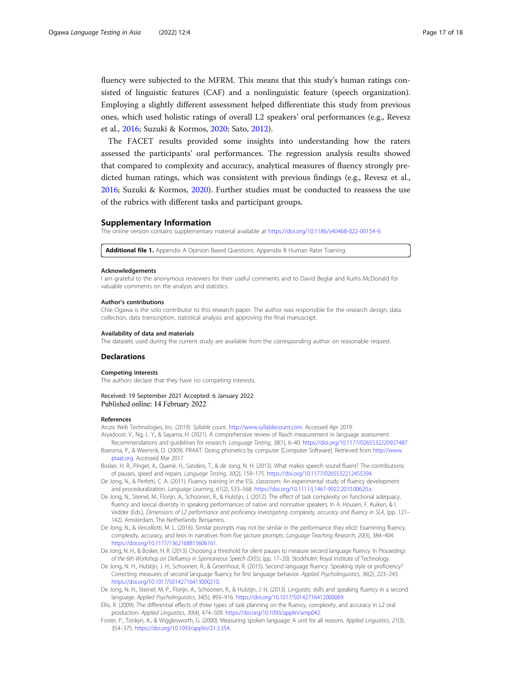<span id="page-16-0"></span>fluency were subjected to the MFRM. This means that this study's human ratings consisted of linguistic features (CAF) and a nonlinguistic feature (speech organization). Employing a slightly different assessment helped differentiate this study from previous ones, which used holistic ratings of overall L2 speakers' oral performances (e.g., Revesz et al., [2016;](#page-17-0) Suzuki & Kormos, [2020;](#page-17-0) Sato, [2012](#page-17-0)).

The FACET results provided some insights into understanding how the raters assessed the participants' oral performances. The regression analysis results showed that compared to complexity and accuracy, analytical measures of fluency strongly predicted human ratings, which was consistent with previous findings (e.g., Revesz et al., [2016](#page-17-0); Suzuki & Kormos, [2020](#page-17-0)). Further studies must be conducted to reassess the use of the rubrics with different tasks and participant groups.

# Supplementary Information

The online version contains supplementary material available at [https://doi.org/10.1186/s40468-022-00154-9.](https://doi.org/10.1186/s40468-022-00154-9)

Additional file 1. Appendix A Opinion Based Questions. Appendix B Human Rater Training.

#### Acknowledgements

I am grateful to the anonymous reviewers for their useful comments and to David Beglar and Kurtis McDonald for valuable comments on the analysis and statistics.

#### Author's contributions

Chie Ogawa is the solo contributor to this research paper. The author was responsible for the research design, data collection, data transcription, statistical analysis and approving the final manuscript.

#### Availability of data and materials

The datasets used during the current study are available from the corresponding author on reasonable request.

#### Declarations

#### Competing interests

The authors declare that they have no competing interests.

# Received: 19 September 2021 Accepted: 6 January 2022 Published online: 14 February 2022

#### References

Arczis Web Technologies, Inc. (2019). Syllable count. [http://www.syllablecount.com.](http://www.syllablecount.com) Accessed Apr 2019.

- Aryadoust, V., Ng, L. Y., & Sayama, H. (2021). A comprehensive review of Rasch measurement in language assessment: Recommendations and guidelines for research. Language Testing, 38(1), 6–40. <https://doi.org/10.1177/0265532220927487>.
- Boersma, P., & Weenink, D. (2009). PRAAT: Doing phonetics by computer [Computer Software]. Retrieved from [http://www.](http://www.praat.org) [praat.org.](http://www.praat.org) Accessed Mar 2017.
- Bosker, H. R., Pinget, A., Quené, H., Sanders, T., & de Jong, N. H. (2013). What makes speech sound fluent? The contributions of pauses, speed and repairs. Language Testing, 30(2), 159–175. [https://doi.org/10.1177/0265532212455394.](https://doi.org/10.1177/0265532212455394)
- De Jong, N., & Perfetti, C. A. (2011). Fluency training in the ESL classroom: An experimental study of fluency development and proceduralization. Language Learning, 61(2), 533–568. [https://doi.org/10.1111/j.1467-9922.2010.00620.x.](https://doi.org/10.1111/j.1467-9922.2010.00620.x)
- De Jong, N., Steinel, M., Florijn, A., Schoonen, R., & Hulstijn, J. (2012). The effect of task complexity on functional adequacy, fluency and lexical diversity in speaking performances of native and nonnative speakers. In A. Housen, F. Kuiken, & I. Vedder (Eds.), Dimensions of L2 performance and proficiency investigating complexity, accuracy and fluency in SLA, (pp. 121– 142). Amsterdam, The Netherlands: Benjamins.
- De Jong, N., & Vercellotti, M. L. (2016). Similar prompts may not be similar in the performance they elicit: Examining fluency, complexity, accuracy, and lexis in narratives from five picture prompts. Language Teaching Research, 20(3), 384–404. <https://doi.org/10.1177/1362168815606161>.
- De Jong, N. H., & Bosker, H. R. (2013). Choosing a threshold for silent pauses to measure second language fluency. In Proceedings of the 6th Workshop on Disfluency in Spontaneous Speech (DiSS), (pp. 17–20). Stockholm: Royal Institute of Technology.
- De Jong, N. H., Hulstijn, J. H., Schoonen, R., & Groenhout, R. (2015). Second language fluency: Speaking style or proficiency? Correcting measures of second language fluency for first language behavior. Applied Psycholinguistics, 36(2), 223–243. [https://doi.org/10.1017/S0142716413000210.](https://doi.org/10.1017/S0142716413000210)
- De Jong, N. H., Steinel, M. P., Florijn, A., Schoonen, R., & Hulstijn, J. H. (2013). Linguistic skills and speaking fluency in a second language. Applied Psycholinguistics, 34(5), 893–916. [https://doi.org/10.1017/S0142716412000069.](https://doi.org/10.1017/S0142716412000069)
- Ellis, R. (2009). The differential effects of three types of task planning on the fluency, complexity, and accuracy in L2 oral production. Applied Linguistics, 30(4), 474–509. [https://doi.org/10.1093/applin/amp042.](https://doi.org/10.1093/applin/amp042)
- Foster, P., Tonkyn, A., & Wigglesworth, G. (2000). Measuring spoken language: A unit for all reasons. Applied Linguistics, 21(3), 354–375. <https://doi.org/10.1093/applin/21.3.354>.